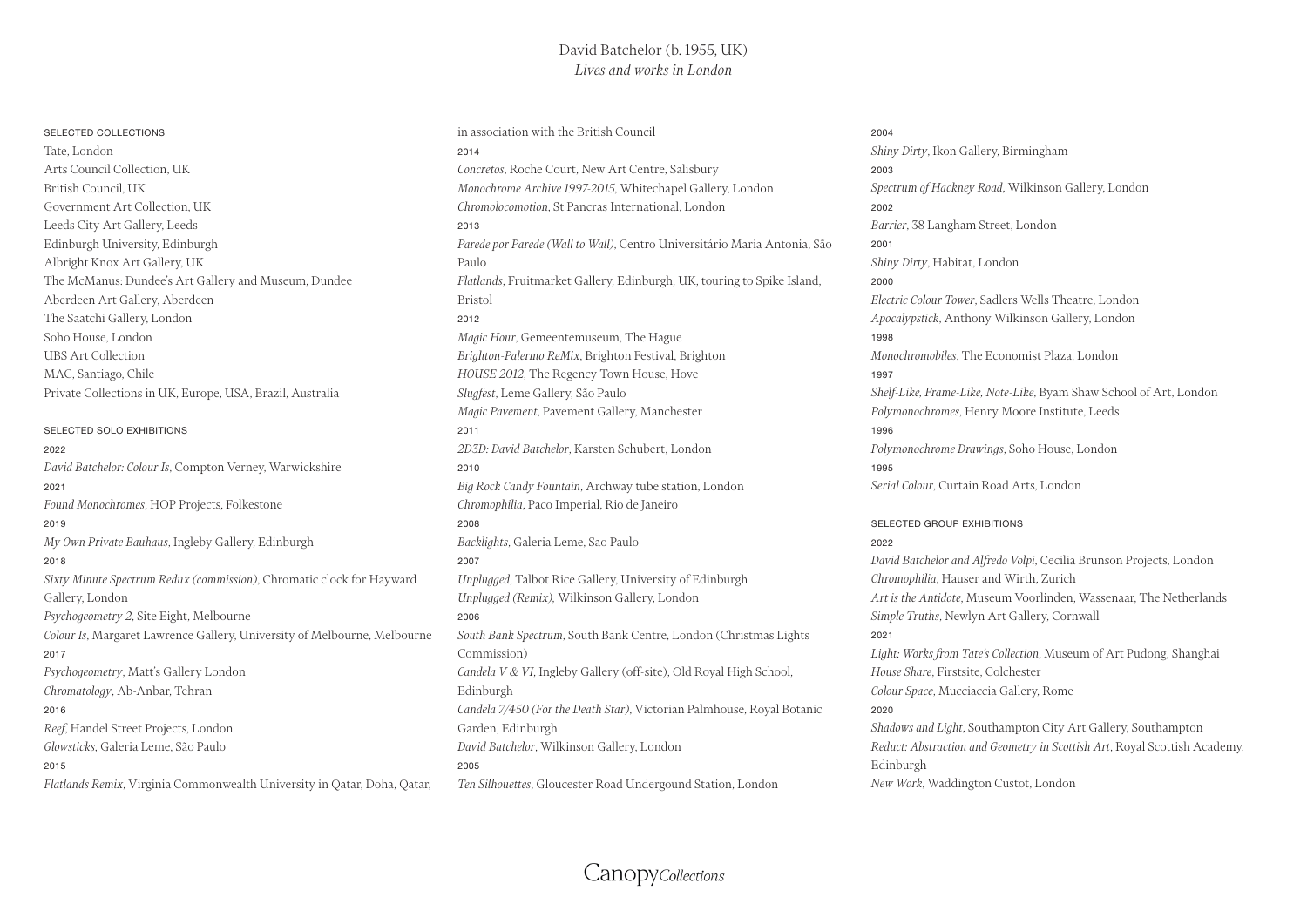## David Batchelor (b. 1955, UK) *Lives and works in London*

#### SELECTED COLLECTIONS

Tate, London Arts Council Collection, UK British Council, UK Government Art Collection, UK Leeds City Art Gallery, Leeds Edinburgh University, Edinburgh Albright Knox Art Gallery, UK The McManus: Dundee's Art Gallery and Museum, Dundee Aberdeen Art Gallery, Aberdeen The Saatchi Gallery, London Soho House, London UBS Art Collection MAC, Santiago, Chile Private Collections in UK, Europe, USA, Brazil, Australia

## SELECTED SOLO EXHIBITIONS 2022 *David Batchelor: Colour Is*, Compton Verney, Warwickshire 2021 *Found Monochromes*, HOP Projects, Folkestone 2019 *My Own Private Bauhaus*, Ingleby Gallery, Edinburgh 2018 *Sixty Minute Spectrum Redux (commission)*, Chromatic clock for Hayward Gallery, London *Psychogeometry 2*, Site Eight, Melbourne *Colour Is*, Margaret Lawrence Gallery, University of Melbourne, Melbourne 2017 *Psychogeometry*, Matt's Gallery London *Chromatology*, Ab-Anbar, Tehran 2016 *Reef*, Handel Street Projects, London *Glowsticks*, Galeria Leme, São Paulo 2015

*Flatlands Remix*, Virginia Commonwealth University in Qatar, Doha, Qatar,

in association with the British Council 2014 *Concretos*, Roche Court, New Art Centre, Salisbury *Monochrome Archive 1997-2015*, Whitechapel Gallery, London *Chromolocomotion*, St Pancras International, London 2013 *Parede por Parede (Wall to Wall)*, Centro Universitário Maria Antonia, São Paulo *Flatlands*, Fruitmarket Gallery, Edinburgh, UK, touring to Spike Island, Bristol 2012 *Magic Hour*, Gemeentemuseum, The Hague *Brighton-Palermo ReMix*, Brighton Festival, Brighton *HOUSE 2012*, The Regency Town House, Hove *Slugfest*, Leme Gallery, São Paulo *Magic Pavement*, Pavement Gallery, Manchester 2011 *2D3D: David Batchelor*, Karsten Schubert, London 2010 *Big Rock Candy Fountain*, Archway tube station, London *Chromophilia*, Paco Imperial, Rio de Janeiro 2008 *Backlights*, Galeria Leme, Sao Paulo 2007 *Unplugged*, Talbot Rice Gallery, University of Edinburgh *Unplugged (Remix),* Wilkinson Gallery, London 2006 *South Bank Spectrum*, South Bank Centre, London (Christmas Lights Commission) *Candela V & VI*, Ingleby Gallery (off-site), Old Royal High School, Edinburgh *Candela 7/450 (For the Death Star)*, Victorian Palmhouse, Royal Botanic Garden, Edinburgh *David Batchelor*, Wilkinson Gallery, London 2005 *Ten Silhouettes*, Gloucester Road Undergound Station, London

### 2004 *Shiny Dirty*, Ikon Gallery, Birmingham 2003 *Spectrum of Hackney Road*, Wilkinson Gallery, London 2002 *Barrier*, 38 Langham Street, London 2001 *Shiny Dirty*, Habitat, London 2000 *Electric Colour Tower*, Sadlers Wells Theatre, London *Apocalypstick*, Anthony Wilkinson Gallery, London 1998 *Monochromobiles*, The Economist Plaza, London 1997 *Shelf-Like, Frame-Like, Note-Like*, Byam Shaw School of Art, London *Polymonochromes*, Henry Moore Institute, Leeds 1996 *Polymonochrome Drawings*, Soho House, London 1995 *Serial Colour*, Curtain Road Arts, London

## SELECTED GROUP EXHIBITIONS 2022 *David Batchelor and Alfredo Volpi*, Cecilia Brunson Projects, London *Chromophilia*, Hauser and Wirth, Zurich *Art is the Antidote*, Museum Voorlinden, Wassenaar, The Netherlands *Simple Truths*, Newlyn Art Gallery, Cornwall 2021 *Light: Works from Tate's Collection*, Museum of Art Pudong, Shanghai *House Share*, Firstsite, Colchester *Colour Space*, Mucciaccia Gallery, Rome 2020 *Shadows and Light*, Southampton City Art Gallery, Southampton *Reduct: Abstraction and Geometry in Scottish Art*, Royal Scottish Academy, Edinburgh *New Work*, Waddington Custot, London

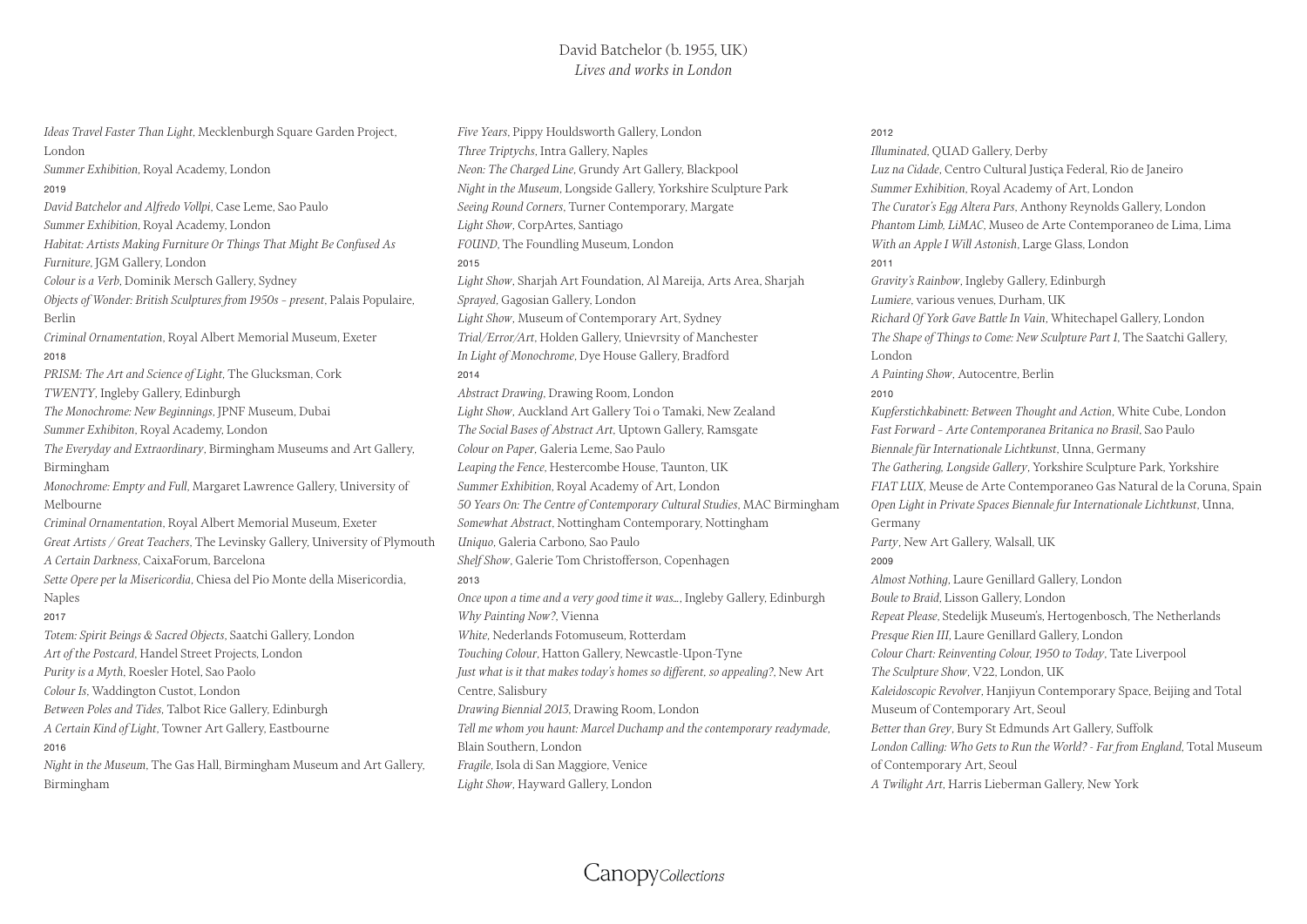# David Batchelor (b. 1955, UK) *Lives and works in London*

*Ideas Travel Faster Than Light*, Mecklenburgh Square Garden Project, London *Summer Exhibition*, Royal Academy, London 2019 *David Batchelor and Alfredo Vollpi*, Case Leme, Sao Paulo *Summer Exhibition*, Royal Academy, London *Habitat: Artists Making Furniture Or Things That Might Be Confused As Furniture*, JGM Gallery, London *Colour is a Verb*, Dominik Mersch Gallery, Sydney *Objects of Wonder: British Sculptures from 1950s – present*, Palais Populaire, Berlin *Criminal Ornamentation*, Royal Albert Memorial Museum, Exeter 2018 *PRISM: The Art and Science of Light*, The Glucksman, Cork *TWENTY*, Ingleby Gallery, Edinburgh *The Monochrome: New Beginnings*, JPNF Museum, Dubai *Summer Exhibiton*, Royal Academy, London *The Everyday and Extraordinary*, Birmingham Museums and Art Gallery, Birmingham *Monochrome: Empty and Full*, Margaret Lawrence Gallery, University of Melbourne *Criminal Ornamentation*, Royal Albert Memorial Museum, Exeter *Great Artists / Great Teachers*, The Levinsky Gallery, University of Plymouth *A Certain Darkness*, CaixaForum, Barcelona *Sette Opere per la Misericordia*, Chiesa del Pio Monte della Misericordia, Naples 2017 *Totem: Spirit Beings & Sacred Objects*, Saatchi Gallery, London *Art of the Postcard*, Handel Street Projects, London *Purity is a Myth*, Roesler Hotel, Sao Paolo *Colour Is*, Waddington Custot, London *Between Poles and Tides*, Talbot Rice Gallery, Edinburgh *A Certain Kind of Light*, Towner Art Gallery, Eastbourne 2016 *Night in the Museum*, The Gas Hall, Birmingham Museum and Art Gallery, Birmingham

*Five Years*, Pippy Houldsworth Gallery, London *Three Triptychs*, Intra Gallery, Naples *Neon: The Charged Line*, Grundy Art Gallery, Blackpool *Night in the Museum*, Longside Gallery, Yorkshire Sculpture Park *Seeing Round Corners*, Turner Contemporary, Margate *Light Show*, CorpArtes, Santiago *FOUND*, The Foundling Museum, London 2015 *Light Show*, Sharjah Art Foundation, Al Mareija, Arts Area, Sharjah *Sprayed*, Gagosian Gallery, London *Light Show*, Museum of Contemporary Art, Sydney *Trial/Error/Art*, Holden Gallery, Unievrsity of Manchester *In Light of Monochrome*, Dye House Gallery, Bradford 2014 *Abstract Drawing*, Drawing Room, London *Light Show*, Auckland Art Gallery Toi o Tamaki, New Zealand *The Social Bases of Abstract Art*, Uptown Gallery, Ramsgate *Colour on Paper*, Galeria Leme, Sao Paulo *Leaping the Fence*, Hestercombe House, Taunton, UK *Summer Exhibition*, Royal Academy of Art, London *50 Years On: The Centre of Contemporary Cultural Studies*, MAC Birmingham *Somewhat Abstract*, Nottingham Contemporary, Nottingham *Uniquo*, Galeria Carbono, Sao Paulo *Shelf Show*, Galerie Tom Christofferson, Copenhagen 2013 *Once upon a time and a very good time it was…*, Ingleby Gallery, Edinburgh *Why Painting Now?*, Vienna *White*, Nederlands Fotomuseum, Rotterdam *Touching Colour*, Hatton Gallery, Newcastle-Upon-Tyne *Just what is it that makes today's homes so different, so appealing?*, New Art Centre, Salisbury *Drawing Biennial 2013*, Drawing Room, London *Tell me whom you haunt: Marcel Duchamp and the contemporary readymade*, Blain Southern, London *Fragile*, Isola di San Maggiore, Venice *Light Show*, Hayward Gallery, London

#### 2012

*Illuminated*, QUAD Gallery, Derby *Luz na Cidade*, Centro Cultural Justiça Federal, Rio de Janeiro *Summer Exhibition*, Royal Academy of Art, London *The Curator's Egg Altera Pars*, Anthony Reynolds Gallery, London *Phantom Limb, LiMAC*, Museo de Arte Contemporaneo de Lima, Lima *With an Apple I Will Astonish*, Large Glass, London 2011 *Gravity's Rainbow*, Ingleby Gallery, Edinburgh *Lumiere*, various venues, Durham, UK *Richard Of York Gave Battle In Vain*, Whitechapel Gallery, London *The Shape of Things to Come: New Sculpture Part 1*, The Saatchi Gallery, London *A Painting Show*, Autocentre, Berlin 2010 *Kupferstichkabinett: Between Thought and Action*, White Cube, London *Fast Forward – Arte Contemporanea Britanica no Brasil*, Sao Paulo *Biennale für Internationale Lichtkunst*, Unna, Germany *The Gathering, Longside Gallery*, Yorkshire Sculpture Park, Yorkshire *FIAT LUX*, Meuse de Arte Contemporaneo Gas Natural de la Coruna, Spain *Open Light in Private Spaces Biennale fur Internationale Lichtkunst*, Unna, Germany *Party*, New Art Gallery, Walsall, UK 2009 *Almost Nothing*, Laure Genillard Gallery, London *Boule to Braid*, Lisson Gallery, London *Repeat Please*, Stedelijk Museum's, Hertogenbosch, The Netherlands *Presque Rien III*, Laure Genillard Gallery, London *Colour Chart: Reinventing Colour, 1950 to Today*, Tate Liverpool *The Sculpture Show*, V22, London, UK *Kaleidoscopic Revolver*, Hanjiyun Contemporary Space, Beijing and Total Museum of Contemporary Art, Seoul *Better than Grey*, Bury St Edmunds Art Gallery, Suffolk *London Calling: Who Gets to Run the World? - Far from England*, Total Museum of Contemporary Art, Seoul *A Twilight Art*, Harris Lieberman Gallery, New York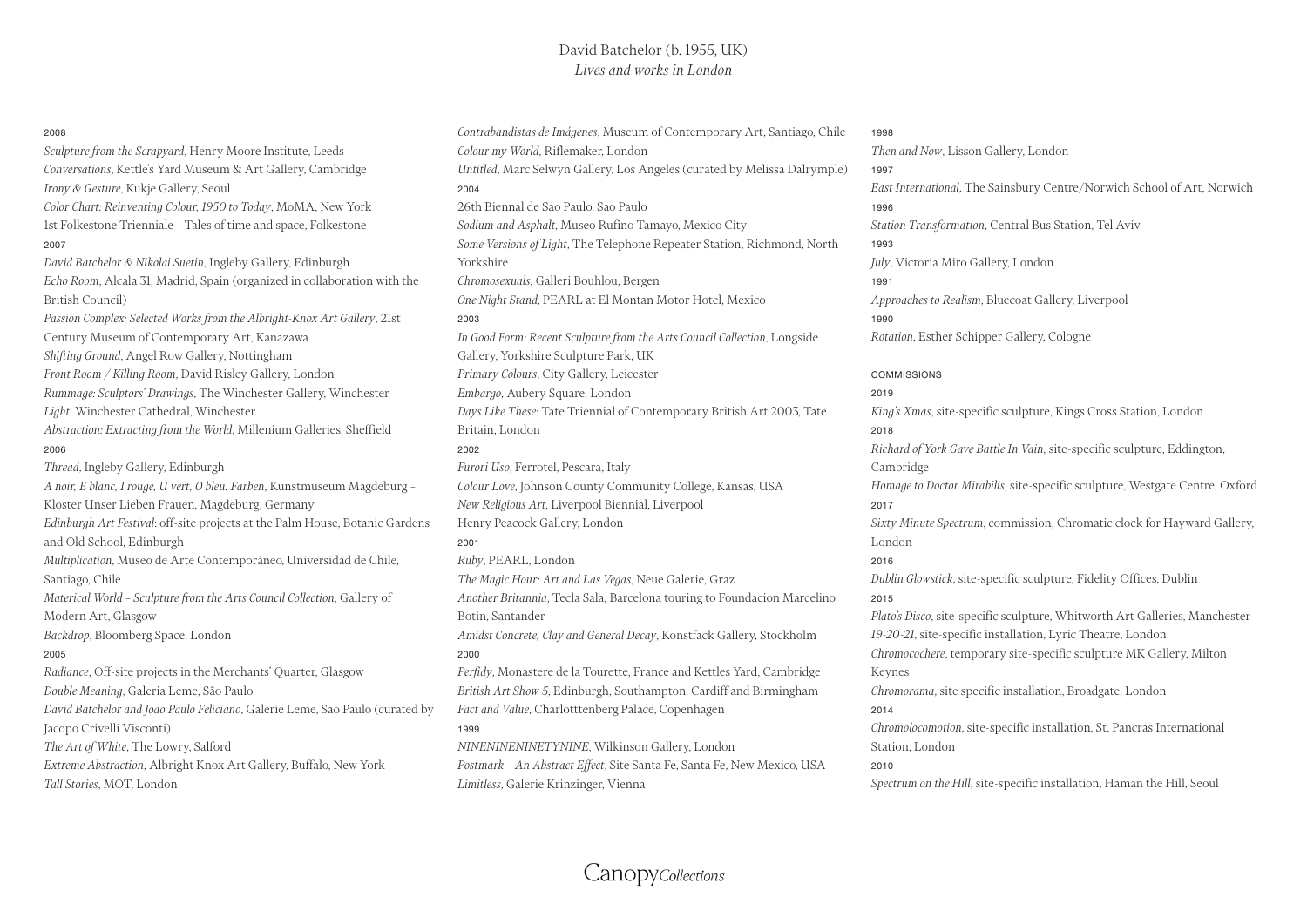#### 2008

*Sculpture from the Scrapyard*, Henry Moore Institute, Leeds *Conversations*, Kettle's Yard Museum & Art Gallery, Cambridge *Irony & Gesture*, Kukje Gallery, Seoul *Color Chart: Reinventing Colour, 1950 to Today*, MoMA, New York 1st Folkestone Trienniale – Tales of time and space, Folkestone 2007 *David Batchelor & Nikolai Suetin*, Ingleby Gallery, Edinburgh *Echo Room*, Alcala 31, Madrid, Spain (organized in collaboration with the British Council) *Passion Complex: Selected Works from the Albright-Knox Art Gallery*, 21st Century Museum of Contemporary Art, Kanazawa *Shifting Ground*, Angel Row Gallery, Nottingham *Front Room / Killing Room*, David Risley Gallery, London *Rummage: Sculptors' Drawings*, The Winchester Gallery, Winchester *Light*, Winchester Cathedral, Winchester *Abstraction: Extracting from the World*, Millenium Galleries, Sheffield 2006 *Thread*, Ingleby Gallery, Edinburgh *A noir, E blanc, I rouge, U vert, O bleu. Farben*, Kunstmuseum Magdeburg – Kloster Unser Lieben Frauen, Magdeburg, Germany *Edinburgh Art Festival*: off-site projects at the Palm House, Botanic Gardens and Old School, Edinburgh *Multiplication*, Museo de Arte Contemporáneo, Universidad de Chile, Santiago, Chile *Materical World – Sculpture from the Arts Council Collection*, Gallery of Modern Art, Glasgow *Backdrop*, Bloomberg Space, London 2005 *Radiance*, Off-site projects in the Merchants' Quarter, Glasgow *Double Meaning*, Galeria Leme, São Paulo *David Batchelor and Joao Paulo Feliciano*, Galerie Leme, Sao Paulo (curated by Jacopo Crivelli Visconti) *The Art of White*, The Lowry, Salford *Extreme Abstraction*, Albright Knox Art Gallery, Buffalo, New York

*Tall Stories*, MOT, London

*Contrabandistas de Imágenes*, Museum of Contemporary Art, Santiago, Chile *Colour my World*, Riflemaker, London *Untitled*, Marc Selwyn Gallery, Los Angeles (curated by Melissa Dalrymple) 2004 26th Biennal de Sao Paulo, Sao Paulo *Sodium and Asphalt*, Museo Rufino Tamayo, Mexico City *Some Versions of Light*, The Telephone Repeater Station, Richmond, North Yorkshire *Chromosexuals*, Galleri Bouhlou, Bergen *One Night Stand*, PEARL at El Montan Motor Hotel, Mexico 2003 *In Good Form: Recent Sculpture from the Arts Council Collection*, Longside Gallery, Yorkshire Sculpture Park, UK *Primary Colours*, City Gallery, Leicester *Embargo*, Aubery Square, London *Days Like These*: Tate Triennial of Contemporary British Art 2003, Tate Britain, London 2002 *Furori Uso*, Ferrotel, Pescara, Italy *Colour Love*, Johnson County Community College, Kansas, USA *New Religious Art*, Liverpool Biennial, Liverpool Henry Peacock Gallery, London 2001 *Ruby*, PEARL, London *The Magic Hour: Art and Las Vegas*, Neue Galerie, Graz *Another Britannia*, Tecla Sala, Barcelona touring to Foundacion Marcelino Botin, Santander *Amidst Concrete, Clay and General Decay*, Konstfack Gallery, Stockholm 2000 *Perfidy*, Monastere de la Tourette, France and Kettles Yard, Cambridge *British Art Show 5*, Edinburgh, Southampton, Cardiff and Birmingham *Fact and Value*, Charlotttenberg Palace, Copenhagen 1999 *NINENINENINETYNINE*, Wilkinson Gallery, London *Postmark – An Abstract Effect*, Site Santa Fe, Santa Fe, New Mexico, USA *Limitless*, Galerie Krinzinger, Vienna

### 1998

*Then and Now*, Lisson Gallery, London 1997 *East International*, The Sainsbury Centre/Norwich School of Art, Norwich 1996 *Station Transformation*, Central Bus Station, Tel Aviv 1993 *July*, Victoria Miro Gallery, London 1991 *Approaches to Realism*, Bluecoat Gallery, Liverpool 1990 *Rotation*, Esther Schipper Gallery, Cologne

COMMISSIONS 2019 *King's Xmas*, site-specific sculpture, Kings Cross Station, London 2018 *Richard of York Gave Battle In Vain*, site-specific sculpture, Eddington, Cambridge *Homage to Doctor Mirabilis*, site-specific sculpture, Westgate Centre, Oxford 2017 *Sixty Minute Spectrum*, commission, Chromatic clock for Hayward Gallery, London 2016 *Dublin Glowstick*, site-specific sculpture, Fidelity Offices, Dublin 2015 *Plato's Disco*, site-specific sculpture, Whitworth Art Galleries, Manchester *19-20-21*, site-specific installation, Lyric Theatre, London *Chromocochere*, temporary site-specific sculpture MK Gallery, Milton Keynes *Chromorama*, site specific installation, Broadgate, London 2014 *Chromolocomotion*, site-specific installation, St. Pancras International Station, London 2010

*Spectrum on the Hill*, site-specific installation, Haman the Hill, Seoul